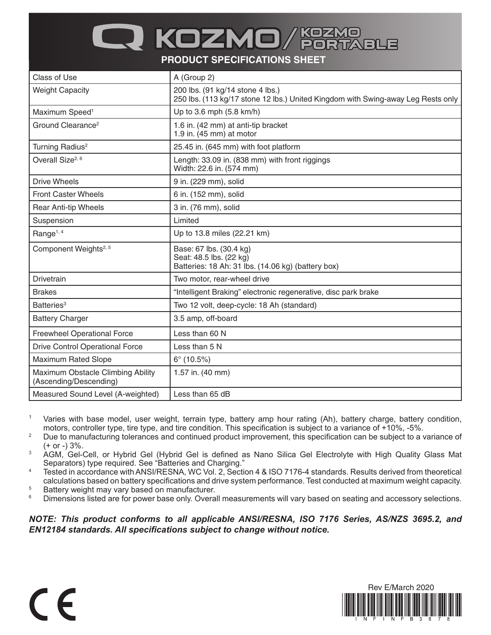## Q KOZMO

**PRODUCT SPECIFICATIONS SHEET**

| Class of Use                                                | A (Group 2)                                                                                                          |
|-------------------------------------------------------------|----------------------------------------------------------------------------------------------------------------------|
| <b>Weight Capacity</b>                                      | 200 lbs. (91 kg/14 stone 4 lbs.)<br>250 lbs. (113 kg/17 stone 12 lbs.) United Kingdom with Swing-away Leg Rests only |
| Maximum Speed <sup>1</sup>                                  | Up to 3.6 mph (5.8 km/h)                                                                                             |
| Ground Clearance <sup>2</sup>                               | 1.6 in. (42 mm) at anti-tip bracket<br>1.9 in. (45 mm) at motor                                                      |
| Turning Radius <sup>2</sup>                                 | 25.45 in. (645 mm) with foot platform                                                                                |
| Overall Size <sup>2, 6</sup>                                | Length: 33.09 in. (838 mm) with front riggings<br>Width: 22.6 in. (574 mm)                                           |
| <b>Drive Wheels</b>                                         | 9 in. (229 mm), solid                                                                                                |
| <b>Front Caster Wheels</b>                                  | 6 in. (152 mm), solid                                                                                                |
| Rear Anti-tip Wheels                                        | 3 in. (76 mm), solid                                                                                                 |
| Suspension                                                  | Limited                                                                                                              |
| Range <sup>1, 4</sup>                                       | Up to 13.8 miles (22.21 km)                                                                                          |
| Component Weights <sup>2, 5</sup>                           | Base: 67 lbs. (30.4 kg)<br>Seat: 48.5 lbs. (22 kg)<br>Batteries: 18 Ah: 31 lbs. (14.06 kg) (battery box)             |
| Drivetrain                                                  | Two motor, rear-wheel drive                                                                                          |
| <b>Brakes</b>                                               | "Intelligent Braking" electronic regenerative, disc park brake                                                       |
| Batteries <sup>3</sup>                                      | Two 12 volt, deep-cycle: 18 Ah (standard)                                                                            |
| <b>Battery Charger</b>                                      | 3.5 amp, off-board                                                                                                   |
| <b>Freewheel Operational Force</b>                          | Less than 60 N                                                                                                       |
| <b>Drive Control Operational Force</b>                      | Less than 5 N                                                                                                        |
| <b>Maximum Rated Slope</b>                                  | $6^{\circ}$ (10.5%)                                                                                                  |
| Maximum Obstacle Climbing Ability<br>(Ascending/Descending) | 1.57 in. (40 mm)                                                                                                     |
| Measured Sound Level (A-weighted)                           | Less than 65 dB                                                                                                      |

- <sup>1</sup> Varies with base model, user weight, terrain type, battery amp hour rating (Ah), battery charge, battery condition, motors, controller type, tire type, and tire condition. This specification is subject to a variance of +10%, -5%.
- <sup>2</sup> Due to manufacturing tolerances and continued product improvement, this specification can be subject to a variance of  $(+ or -) 3%$ .
- <sup>3</sup> AGM, Gel-Cell, or Hybrid Gel (Hybrid Gel is defined as Nano Silica Gel Electrolyte with High Quality Glass Mat Separators) type required. See "Batteries and Charging."
- <sup>4</sup> Tested in accordance with ANSI/RESNA, WC Vol. 2, Section 4 & ISO 7176-4 standards. Results derived from theoretical calculations based on battery specifications and drive system performance. Test conducted at maximum weight capacity.
- $5$  Battery weight may vary based on manufacturer.<br> $6$  Dimensions listed are for nower base only Overa

 $\epsilon$ 

Dimensions listed are for power base only. Overall measurements will vary based on seating and accessory selections.

*NOTE: This product conforms to all applicable ANSI/RESNA, ISO 7176 Series, AS/NZS 3695.2, and EN12184 standards. All specifications subject to change without notice.*